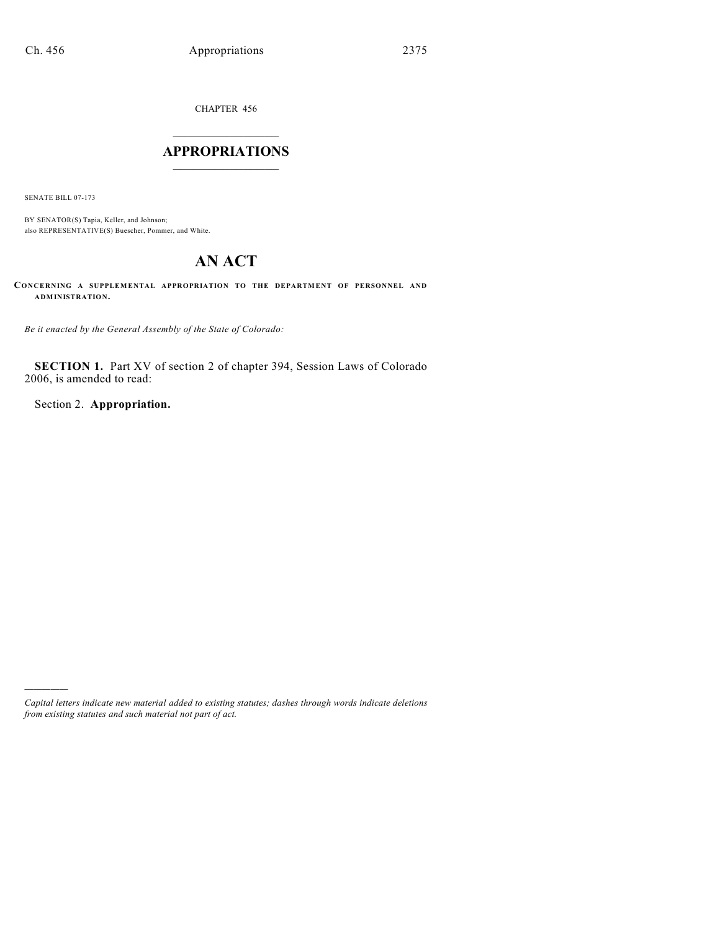CHAPTER 456

# $\mathcal{L}_\text{max}$  . The set of the set of the set of the set of the set of the set of the set of the set of the set of the set of the set of the set of the set of the set of the set of the set of the set of the set of the set **APPROPRIATIONS**  $\_$   $\_$   $\_$   $\_$   $\_$   $\_$   $\_$   $\_$

SENATE BILL 07-173

)))))

BY SENATOR(S) Tapia, Keller, and Johnson; also REPRESENTATIVE(S) Buescher, Pommer, and White.

# **AN ACT**

**CONCERNING A SUPPLEMENTAL APPROPRIATION TO THE DEPARTMENT OF PERSONNEL AND ADMINISTRATION.**

*Be it enacted by the General Assembly of the State of Colorado:*

**SECTION 1.** Part XV of section 2 of chapter 394, Session Laws of Colorado 2006, is amended to read:

Section 2. **Appropriation.**

*Capital letters indicate new material added to existing statutes; dashes through words indicate deletions from existing statutes and such material not part of act.*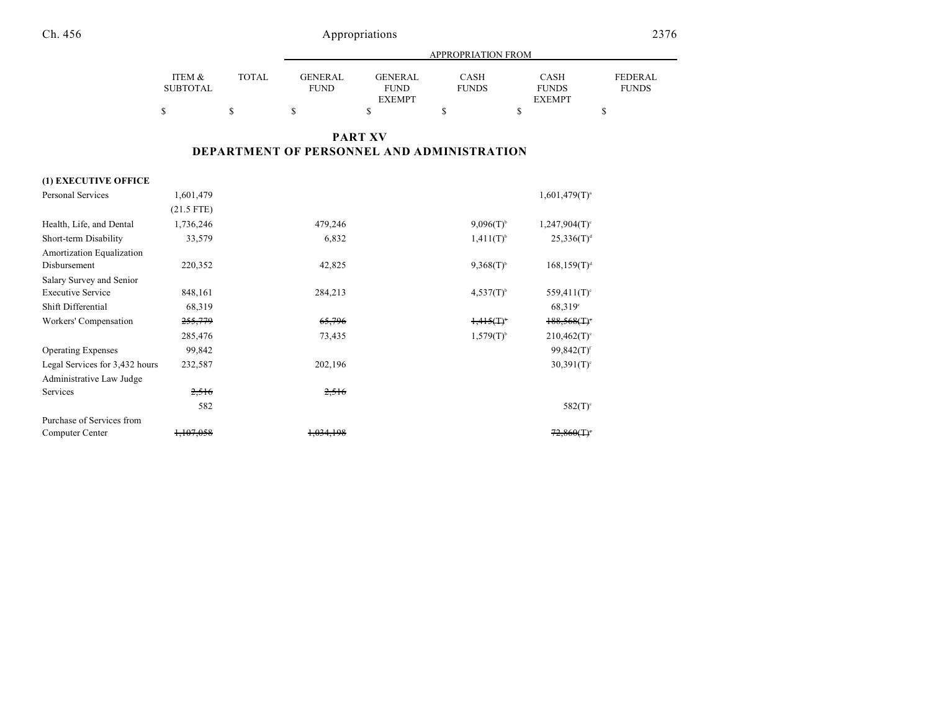|          |              |                |                | <b>APPROPRIATION FROM</b> |               |                |
|----------|--------------|----------------|----------------|---------------------------|---------------|----------------|
| ITEM &   | <b>TOTAL</b> | <b>GENERAL</b> | <b>GENERAL</b> | <b>CASH</b>               | CASH          | <b>FEDERAL</b> |
| SUBTOTAL |              | <b>FUND</b>    | <b>FUND</b>    | <b>FUNDS</b>              | <b>FUNDS</b>  | <b>FUNDS</b>   |
|          |              |                | <b>EXEMPT</b>  |                           | <b>EXEMPT</b> |                |
| \$       |              |                |                |                           |               |                |

## **PART XV DEPARTMENT OF PERSONNEL AND ADMINISTRATION**

## **(1) EXECUTIVE OFFICE**

| <b>Personal Services</b>       | 1,601,479            |           |                | $1,601,479(T)^{a}$        |
|--------------------------------|----------------------|-----------|----------------|---------------------------|
|                                | $(21.5$ FTE)         |           |                |                           |
| Health, Life, and Dental       | 1,736,246            | 479,246   | $9,096(T)^{6}$ | $1,247,904(T)$ °          |
| Short-term Disability          | 33,579               | 6,832     | $1,411(T)^{b}$ | 25,336(T) <sup>d</sup>    |
| Amortization Equalization      |                      |           |                |                           |
| Disbursement                   | 220,352              | 42,825    | $9,368(T)^{6}$ | $168, 159(T)^d$           |
| Salary Survey and Senior       |                      |           |                |                           |
| <b>Executive Service</b>       | 848,161              | 284,213   | $4,537(T)^{6}$ | $559,411(T)$ °            |
| Shift Differential             | 68,319               |           |                | 68,319°                   |
| Workers' Compensation          | 255,779              | 65,796    | $1.415(T)^{6}$ | $188,568($ T) $\degree$   |
|                                | 285,476              | 73,435    | $1,579(T)^{b}$ | $210,462(T)$ °            |
| <b>Operating Expenses</b>      | 99,842               |           |                | $99,842(T)^f$             |
| Legal Services for 3,432 hours | 232,587              | 202,196   |                | $30,391(T)$ <sup>c</sup>  |
| Administrative Law Judge       |                      |           |                |                           |
| Services                       | 2,516                | 2,516     |                |                           |
|                                | 582                  |           |                | $582(T)$ <sup>c</sup>     |
| Purchase of Services from      |                      |           |                |                           |
| Computer Center                | <del>1,107,058</del> | 1,034,198 |                | $72,860($ T) <sup>*</sup> |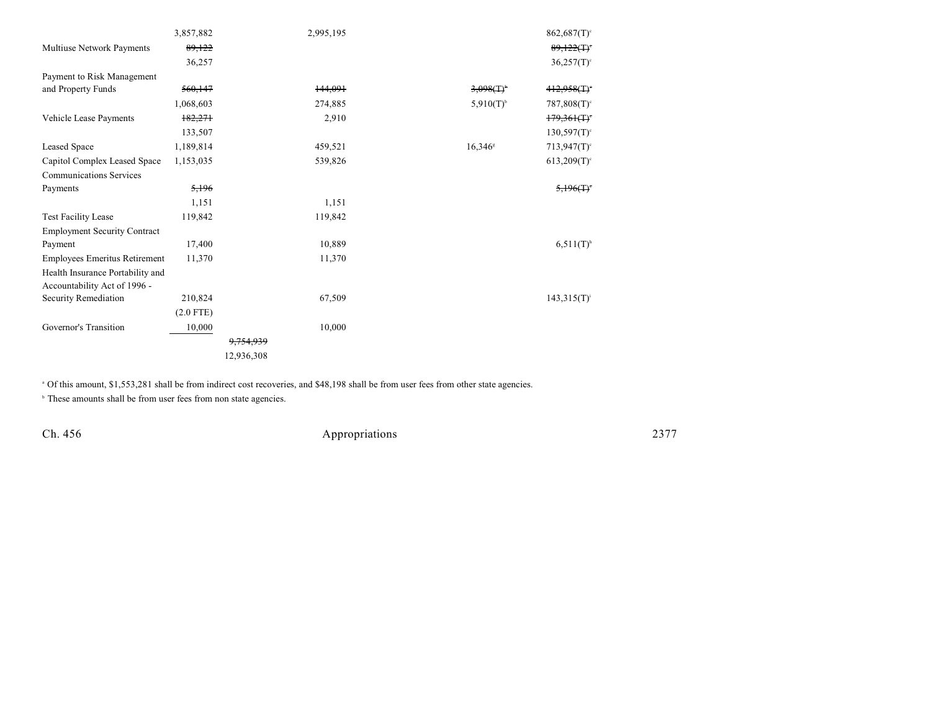|                                      | 3,857,882   |                      | 2,995,195 |                       | $862,687(T)$ <sup>c</sup>                 |
|--------------------------------------|-------------|----------------------|-----------|-----------------------|-------------------------------------------|
| Multiuse Network Payments            | 89,122      |                      |           |                       | 89,122(                                   |
|                                      | 36,257      |                      |           |                       | $36,257(T)$ °                             |
| Payment to Risk Management           |             |                      |           |                       |                                           |
| and Property Funds                   | 560,147     |                      | 144,091   | $3,098(1)^{6}$        | 412,958(T)                                |
|                                      | 1,068,603   |                      | 274,885   | $5,910(T)^{6}$        | $787,808(T)$ <sup>c</sup>                 |
| Vehicle Lease Payments               | 182,271     |                      | 2,910     |                       | $179,361($ T) <sup>-</sup>                |
|                                      | 133,507     |                      |           |                       | $130,597(T)$ <sup>c</sup>                 |
| Leased Space                         | 1,189,814   |                      | 459,521   | $16,346$ <sup>s</sup> | $713,947(T)$ <sup>c</sup>                 |
| Capitol Complex Leased Space         | 1,153,035   |                      | 539,826   |                       | $613,209(T)$ <sup>c</sup>                 |
| <b>Communications Services</b>       |             |                      |           |                       |                                           |
| Payments                             | 5,196       |                      |           |                       | $5,196($ T) <sup><math>\cdot</math></sup> |
|                                      | 1,151       |                      | 1,151     |                       |                                           |
| <b>Test Facility Lease</b>           | 119,842     |                      | 119,842   |                       |                                           |
| <b>Employment Security Contract</b>  |             |                      |           |                       |                                           |
| Payment                              | 17,400      |                      | 10,889    |                       | $6,511(T)^{h}$                            |
| <b>Employees Emeritus Retirement</b> | 11,370      |                      | 11,370    |                       |                                           |
| Health Insurance Portability and     |             |                      |           |                       |                                           |
| Accountability Act of 1996 -         |             |                      |           |                       |                                           |
| Security Remediation                 | 210,824     |                      | 67,509    |                       | $143,315(T)^{i}$                          |
|                                      | $(2.0$ FTE) |                      |           |                       |                                           |
| Governor's Transition                | 10,000      |                      | 10,000    |                       |                                           |
|                                      |             | <del>9,754,939</del> |           |                       |                                           |
|                                      |             | 12,936,308           |           |                       |                                           |

<sup>a</sup> Of this amount, \$1,553,281 shall be from indirect cost recoveries, and \$48,198 shall be from user fees from other state agencies.

<sup>b</sup> These amounts shall be from user fees from non state agencies.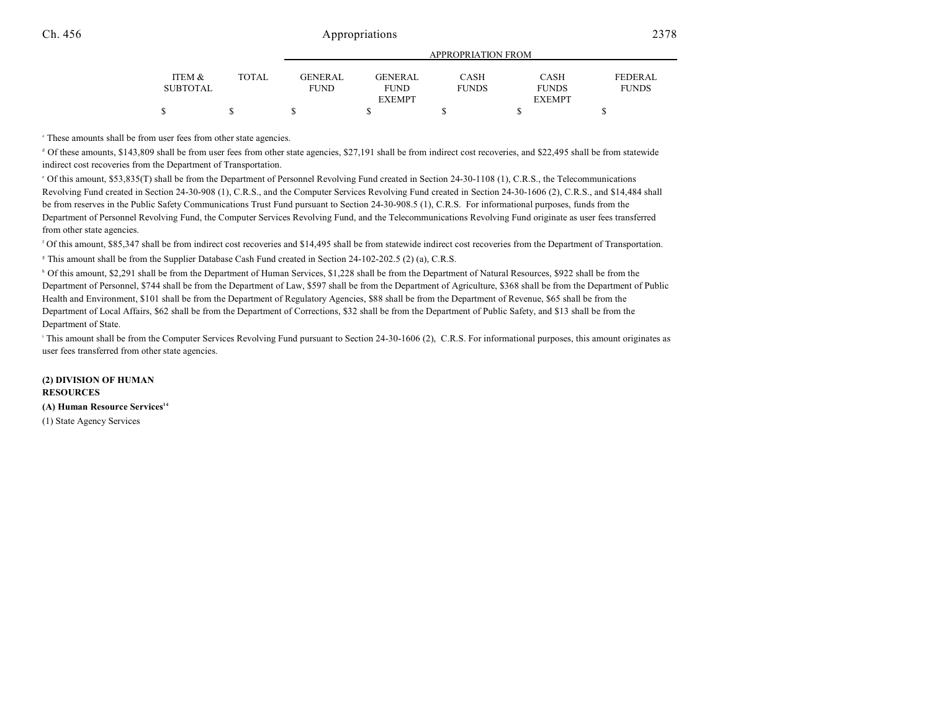|                 |       | ALLINOI INTERIORE LINORI |                |              |               |              |
|-----------------|-------|--------------------------|----------------|--------------|---------------|--------------|
| ITEM &          | TOTAL | GENERAL                  | <b>GENERAL</b> | CASH         | CASH          | FEDERAL      |
| <b>SUBTOTAL</b> |       | <b>FUND</b>              | <b>FUND</b>    | <b>FUNDS</b> | <b>FUNDS</b>  | <b>FUNDS</b> |
|                 |       |                          | <b>EXEMPT</b>  |              | <b>EXEMPT</b> |              |
|                 |       |                          |                |              |               |              |

APPROPRIATION FROM

These amounts shall be from user fees from other state agencies. c

<sup>d</sup> Of these amounts, \$143,809 shall be from user fees from other state agencies, \$27,191 shall be from indirect cost recoveries, and \$22,495 shall be from statewide indirect cost recoveries from the Department of Transportation.

 Of this amount, \$53,835(T) shall be from the Department of Personnel Revolving Fund created in Section 24-30-1108 (1), C.R.S., the Telecommunications <sup>e</sup> Revolving Fund created in Section 24-30-908 (1), C.R.S., and the Computer Services Revolving Fund created in Section 24-30-1606 (2), C.R.S., and \$14,484 shall be from reserves in the Public Safety Communications Trust Fund pursuant to Section 24-30-908.5 (1), C.R.S. For informational purposes, funds from the Department of Personnel Revolving Fund, the Computer Services Revolving Fund, and the Telecommunications Revolving Fund originate as user fees transferred from other state agencies.

<sup>r</sup> Of this amount, \$85,347 shall be from indirect cost recoveries and \$14,495 shall be from statewide indirect cost recoveries from the Department of Transportation. <sup>8</sup> This amount shall be from the Supplier Database Cash Fund created in Section 24-102-202.5 (2) (a), C.R.S.

<sup>h</sup> Of this amount, \$2,291 shall be from the Department of Human Services, \$1,228 shall be from the Department of Natural Resources, \$922 shall be from the Department of Personnel, \$744 shall be from the Department of Law, \$597 shall be from the Department of Agriculture, \$368 shall be from the Department of Public Health and Environment, \$101 shall be from the Department of Regulatory Agencies, \$88 shall be from the Department of Revenue, \$65 shall be from the Department of Local Affairs, \$62 shall be from the Department of Corrections, \$32 shall be from the Department of Public Safety, and \$13 shall be from the Department of State.

<sup>1</sup> This amount shall be from the Computer Services Revolving Fund pursuant to Section 24-30-1606 (2), C.R.S. For informational purposes, this amount originates as user fees transferred from other state agencies.

**(2) DIVISION OF HUMAN RESOURCES (A) Human Resource Services 14** (1) State Agency Services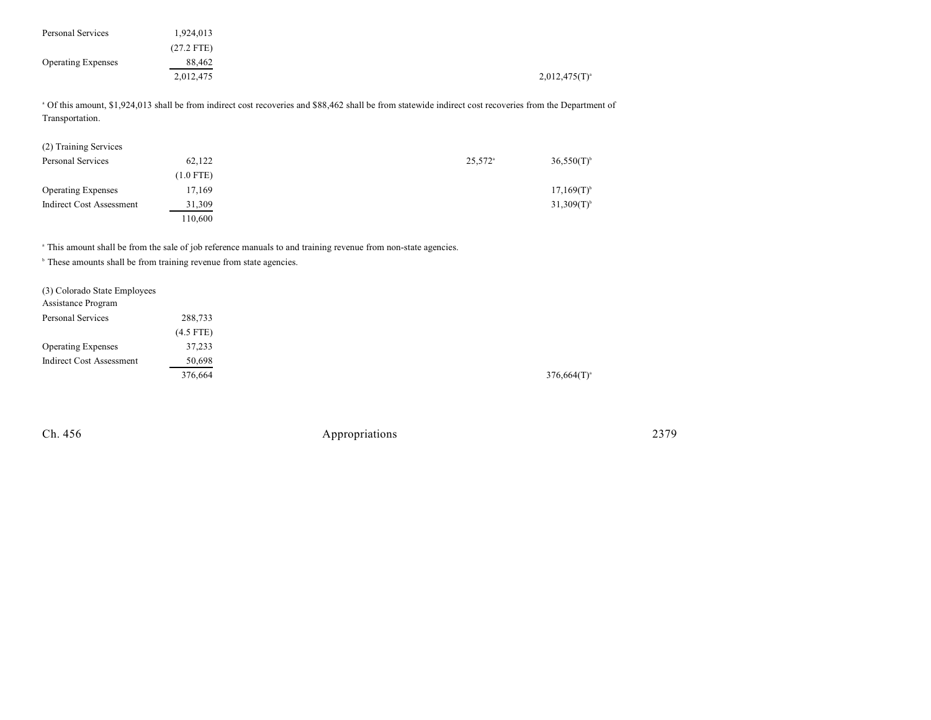| Personal Services         | 1,924,013    |                    |
|---------------------------|--------------|--------------------|
|                           | $(27.2$ FTE) |                    |
| <b>Operating Expenses</b> | 88,462       |                    |
|                           | 2,012,475    | $2,012,475(T)^{3}$ |

 Of this amount, \$1,924,013 shall be from indirect cost recoveries and \$88,462 shall be from statewide indirect cost recoveries from the Department of <sup>a</sup> Transportation.

| (2) Training Services           |             |                       |                          |
|---------------------------------|-------------|-----------------------|--------------------------|
| Personal Services               | 62,122      | $25,572$ <sup>a</sup> | $36,550(T)$ <sup>b</sup> |
|                                 | $(1.0$ FTE) |                       |                          |
| <b>Operating Expenses</b>       | 17,169      |                       | $17,169(T)^{b}$          |
| <b>Indirect Cost Assessment</b> | 31,309      |                       | $31,309(T)$ <sup>b</sup> |
|                                 | 110,600     |                       |                          |

<sup>a</sup> This amount shall be from the sale of job reference manuals to and training revenue from non-state agencies.

<sup>b</sup> These amounts shall be from training revenue from state agencies.

| 288.733     |                  |
|-------------|------------------|
| $(4.5$ FTE) |                  |
| 37,233      |                  |
| 50,698      |                  |
| 376,664     | $376,664(T)^{4}$ |
|             |                  |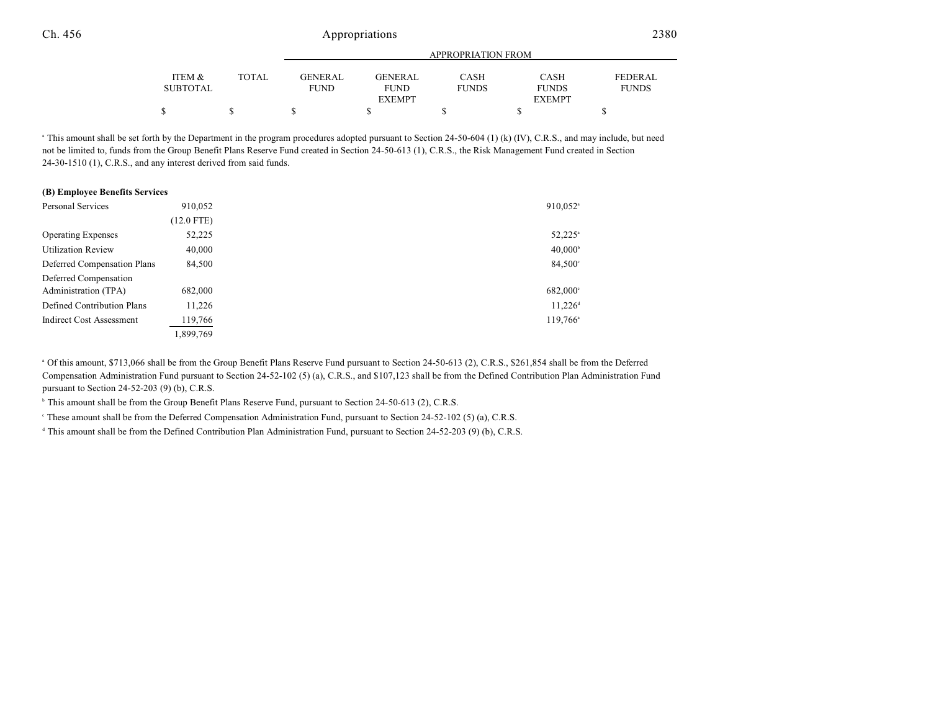|                 |       |                | APPROPRIATION FROM |              |               |                |  |
|-----------------|-------|----------------|--------------------|--------------|---------------|----------------|--|
|                 |       |                |                    |              |               |                |  |
| ITEM &          | TOTAL | <b>GENERAL</b> | <b>GENERAL</b>     | <b>CASH</b>  | CASH          | <b>FEDERAL</b> |  |
| <b>SUBTOTAL</b> |       | <b>FUND</b>    | <b>FUND</b>        | <b>FUNDS</b> | <b>FUNDS</b>  | <b>FUNDS</b>   |  |
|                 |       |                | <b>EXEMPT</b>      |              | <b>EXEMPT</b> |                |  |
|                 |       |                |                    |              |               |                |  |

<sup>a</sup> This amount shall be set forth by the Department in the program procedures adopted pursuant to Section 24-50-604 (1) (k) (IV), C.R.S., and may include, but need not be limited to, funds from the Group Benefit Plans Reserve Fund created in Section 24-50-613 (1), C.R.S., the Risk Management Fund created in Section 24-30-1510 (1), C.R.S., and any interest derived from said funds.

| (B) Employee Benefits Services  |              |                       |
|---------------------------------|--------------|-----------------------|
| <b>Personal Services</b>        | 910,052      | 910,052 <sup>a</sup>  |
|                                 | $(12.0$ FTE) |                       |
| <b>Operating Expenses</b>       | 52,225       | $52,225^{\circ}$      |
| <b>Utilization Review</b>       | 40,000       | $40,000^{\circ}$      |
| Deferred Compensation Plans     | 84,500       | $84,500^{\circ}$      |
| Deferred Compensation           |              |                       |
| Administration (TPA)            | 682,000      | $682,000^{\circ}$     |
| Defined Contribution Plans      | 11,226       | $11,226$ <sup>d</sup> |
| <b>Indirect Cost Assessment</b> | 119,766      | $119,766^{\circ}$     |
|                                 | 1,899,769    |                       |

<sup>a</sup> Of this amount, \$713,066 shall be from the Group Benefit Plans Reserve Fund pursuant to Section 24-50-613 (2), C.R.S., \$261,854 shall be from the Deferred Compensation Administration Fund pursuant to Section 24-52-102 (5) (a), C.R.S., and \$107,123 shall be from the Defined Contribution Plan Administration Fund pursuant to Section 24-52-203 (9) (b), C.R.S.

 $\mu$  This amount shall be from the Group Benefit Plans Reserve Fund, pursuant to Section 24-50-613 (2), C.R.S.

<sup>e</sup> These amount shall be from the Deferred Compensation Administration Fund, pursuant to Section 24-52-102 (5) (a), C.R.S.

<sup>d</sup> This amount shall be from the Defined Contribution Plan Administration Fund, pursuant to Section 24-52-203 (9) (b), C.R.S.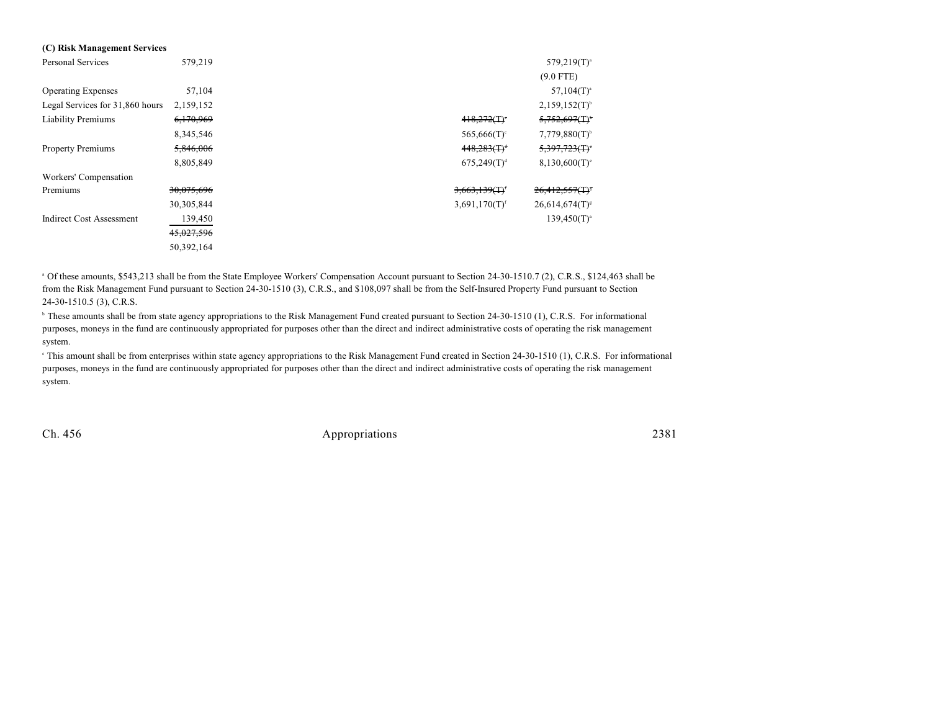| (C) Risk Management Services    |            |                              |                               |
|---------------------------------|------------|------------------------------|-------------------------------|
| Personal Services               | 579,219    |                              | $579,219(T)^a$                |
|                                 |            |                              | $(9.0$ FTE)                   |
| <b>Operating Expenses</b>       | 57,104     |                              | $57,104(T)^a$                 |
| Legal Services for 31,860 hours | 2,159,152  |                              | $2,159,152(T)^{6}$            |
| <b>Liability Premiums</b>       | 6,170,969  | $418,272($ T) <sup>*</sup>   | $5,752,697$ (T) <sup>*</sup>  |
|                                 | 8,345,546  | 565,666 $(T)^c$              | $7,779,880(T)^{b}$            |
| <b>Property Premiums</b>        | 5,846,006  | $448,283$ $(T)^4$            | $5,397,723$ (T) <sup>-</sup>  |
|                                 | 8,805,849  | $675,249(T)^{d}$             | $8,130,600(T)^c$              |
| Workers' Compensation           |            |                              |                               |
| Premiums                        | 30,075,696 | $3,663,139($ T) <sup>e</sup> | $26,412,557$ (T) <sup>s</sup> |
|                                 | 30,305,844 | $3,691,170(T)$ <sup>f</sup>  | $26,614,674(T)^{s}$           |
| <b>Indirect Cost Assessment</b> | 139,450    |                              | $139,450(T)^{a}$              |
|                                 | 45,027,596 |                              |                               |
|                                 | 50,392,164 |                              |                               |

<sup>a</sup> Of these amounts, \$543,213 shall be from the State Employee Workers' Compensation Account pursuant to Section 24-30-1510.7 (2), C.R.S., \$124,463 shall be from the Risk Management Fund pursuant to Section 24-30-1510 (3), C.R.S., and \$108,097 shall be from the Self-Insured Property Fund pursuant to Section 24-30-1510.5 (3), C.R.S.

<sup>b</sup> These amounts shall be from state agency appropriations to the Risk Management Fund created pursuant to Section 24-30-1510 (1), C.R.S. For informational purposes, moneys in the fund are continuously appropriated for purposes other than the direct and indirect administrative costs of operating the risk management system.

<sup>e</sup> This amount shall be from enterprises within state agency appropriations to the Risk Management Fund created in Section 24-30-1510 (1), C.R.S. For informational purposes, moneys in the fund are continuously appropriated for purposes other than the direct and indirect administrative costs of operating the risk management system.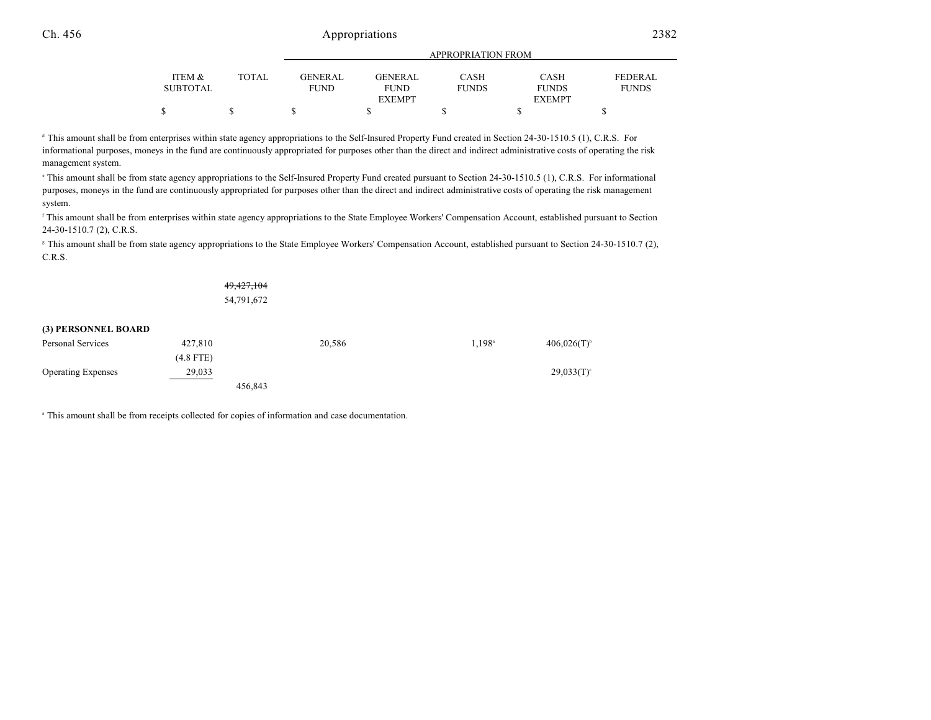|                 |        |             | APPROPRIATION FROM |              |               |              |  |
|-----------------|--------|-------------|--------------------|--------------|---------------|--------------|--|
|                 |        |             |                    |              |               |              |  |
| ITEM &          | TOTAL. | GENER AL    | <b>GENERAL</b>     | CASH         | <b>CASH</b>   | FEDERAL      |  |
| <b>SUBTOTAL</b> |        | <b>FUND</b> | <b>FUND</b>        | <b>FUNDS</b> | <b>FUNDS</b>  | <b>FUNDS</b> |  |
|                 |        |             | <b>EXEMPT</b>      |              | <b>EXEMPT</b> |              |  |
|                 | S      |             |                    |              |               |              |  |

<sup>d</sup> This amount shall be from enterprises within state agency appropriations to the Self-Insured Property Fund created in Section 24-30-1510.5 (1), C.R.S. For informational purposes, moneys in the fund are continuously appropriated for purposes other than the direct and indirect administrative costs of operating the risk management system.

<sup>e</sup> This amount shall be from state agency appropriations to the Self-Insured Property Fund created pursuant to Section 24-30-1510.5 (1), C.R.S. For informational purposes, moneys in the fund are continuously appropriated for purposes other than the direct and indirect administrative costs of operating the risk management system.

<sup>f</sup> This amount shall be from enterprises within state agency appropriations to the State Employee Workers' Compensation Account, established pursuant to Section 24-30-1510.7 (2), C.R.S.

<sup>8</sup> This amount shall be from state agency appropriations to the State Employee Workers' Compensation Account, established pursuant to Section 24-30-1510.7 (2), C.R.S.

> 49,427,104 54,791,672

#### **(3) PERSONNEL BOARD**

| Personal Services         | 427,810     | 20,586  | $1.198$ <sup>a</sup> | $406,026(T)$ <sup>b</sup> |
|---------------------------|-------------|---------|----------------------|---------------------------|
|                           | $(4.8$ FTE) |         |                      |                           |
| <b>Operating Expenses</b> | 29,033      |         |                      | $29,033(T)$ °             |
|                           |             | 456,843 |                      |                           |

<sup>a</sup> This amount shall be from receipts collected for copies of information and case documentation.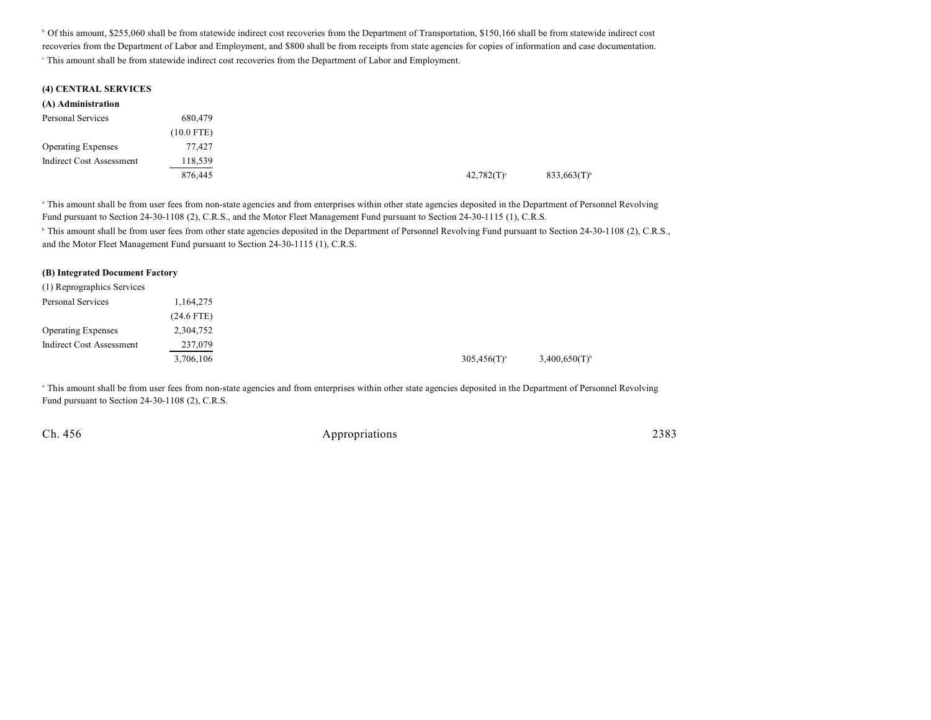<sup>b</sup> Of this amount, \$255,060 shall be from statewide indirect cost recoveries from the Department of Transportation, \$150,166 shall be from statewide indirect cost recoveries from the Department of Labor and Employment, and \$800 shall be from receipts from state agencies for copies of information and case documentation. This amount shall be from statewide indirect cost recoveries from the Department of Labor and Employment. <sup>c</sup>

|  | (4) CENTRAL SERVICES |  |
|--|----------------------|--|
|--|----------------------|--|

| (A) Administration        |              |
|---------------------------|--------------|
| Personal Services         | 680,479      |
|                           | $(10.0$ FTE) |
| <b>Operating Expenses</b> | 77.427       |
| Indirect Cost Assessment  | 118,539      |
|                           | 876,445      |

<sup>a</sup> This amount shall be from user fees from non-state agencies and from enterprises within other state agencies deposited in the Department of Personnel Revolving Fund pursuant to Section 24-30-1108 (2), C.R.S., and the Motor Fleet Management Fund pursuant to Section 24-30-1115 (1), C.R.S.

<sup>b</sup> This amount shall be from user fees from other state agencies deposited in the Department of Personnel Revolving Fund pursuant to Section 24-30-1108 (2), C.R.S., and the Motor Fleet Management Fund pursuant to Section 24-30-1115 (1), C.R.S.

#### **(B) Integrated Document Factory**

| (1) Reprographics Services |              |                  |                    |
|----------------------------|--------------|------------------|--------------------|
| Personal Services          | 1,164,275    |                  |                    |
|                            | $(24.6$ FTE) |                  |                    |
| <b>Operating Expenses</b>  | 2,304,752    |                  |                    |
| Indirect Cost Assessment   | 237,079      |                  |                    |
|                            | 3,706,106    | $305,456(T)^{a}$ | $3,400,650(T)^{6}$ |

<sup>a</sup> This amount shall be from user fees from non-state agencies and from enterprises within other state agencies deposited in the Department of Personnel Revolving Fund pursuant to Section 24-30-1108 (2), C.R.S.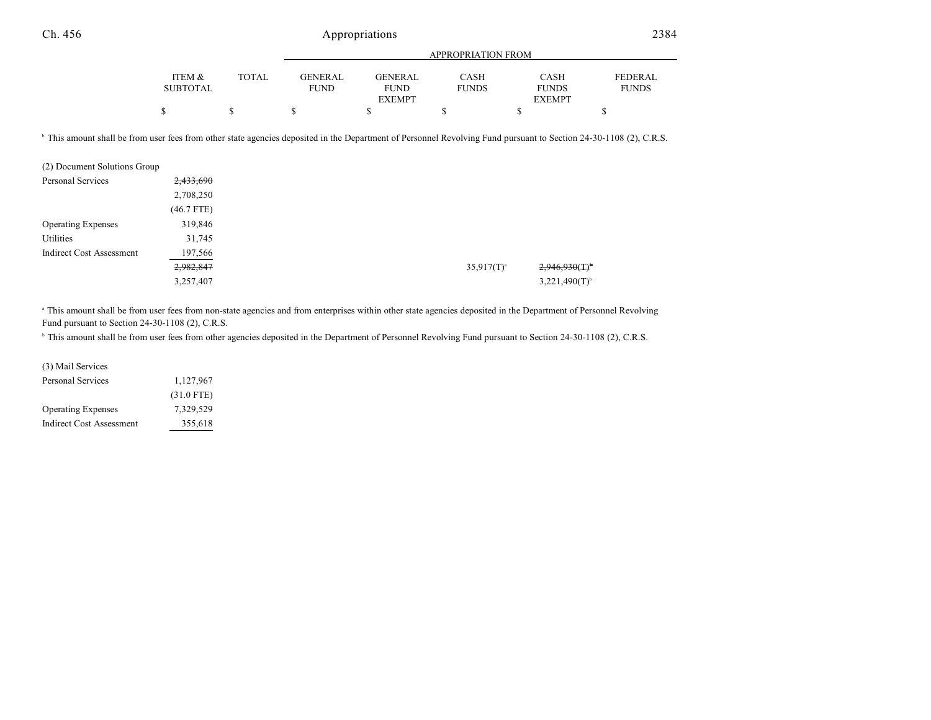|                 |       | APPROPRIATION FROM |                |              |               |                |  |
|-----------------|-------|--------------------|----------------|--------------|---------------|----------------|--|
|                 |       |                    |                |              |               |                |  |
| ITEM &          | TOTAL | <b>GENERAL</b>     | <b>GENERAL</b> | CASH         | CASH          | <b>FEDERAL</b> |  |
| <b>SUBTOTAL</b> |       | <b>FUND</b>        | <b>FUND</b>    | <b>FUNDS</b> | <b>FUNDS</b>  | <b>FUNDS</b>   |  |
|                 |       |                    | <b>EXEMPT</b>  |              | <b>EXEMPT</b> |                |  |
|                 |       |                    |                |              |               |                |  |

<sup>b</sup> This amount shall be from user fees from other state agencies deposited in the Department of Personnel Revolving Fund pursuant to Section 24-30-1108 (2), C.R.S.

| (2) Document Solutions Group    |              |
|---------------------------------|--------------|
| Personal Services               | 2,433,690    |
|                                 | 2,708,250    |
|                                 | $(46.7$ FTE) |
| <b>Operating Expenses</b>       | 319,846      |
| Utilities                       | 31,745       |
| <b>Indirect Cost Assessment</b> | 197,566      |
|                                 | 2,982,847    |
|                                 | 3,257,407    |

<sup>a</sup> This amount shall be from user fees from non-state agencies and from enterprises within other state agencies deposited in the Department of Personnel Revolving Fund pursuant to Section 24-30-1108 (2), C.R.S.

<sup>b</sup> This amount shall be from user fees from other agencies deposited in the Department of Personnel Revolving Fund pursuant to Section 24-30-1108 (2), C.R.S.

| (3) Mail Services         |              |
|---------------------------|--------------|
| Personal Services         | 1,127,967    |
|                           | $(31.0$ FTE) |
| <b>Operating Expenses</b> | 7.329.529    |
| Indirect Cost Assessment  | 355,618      |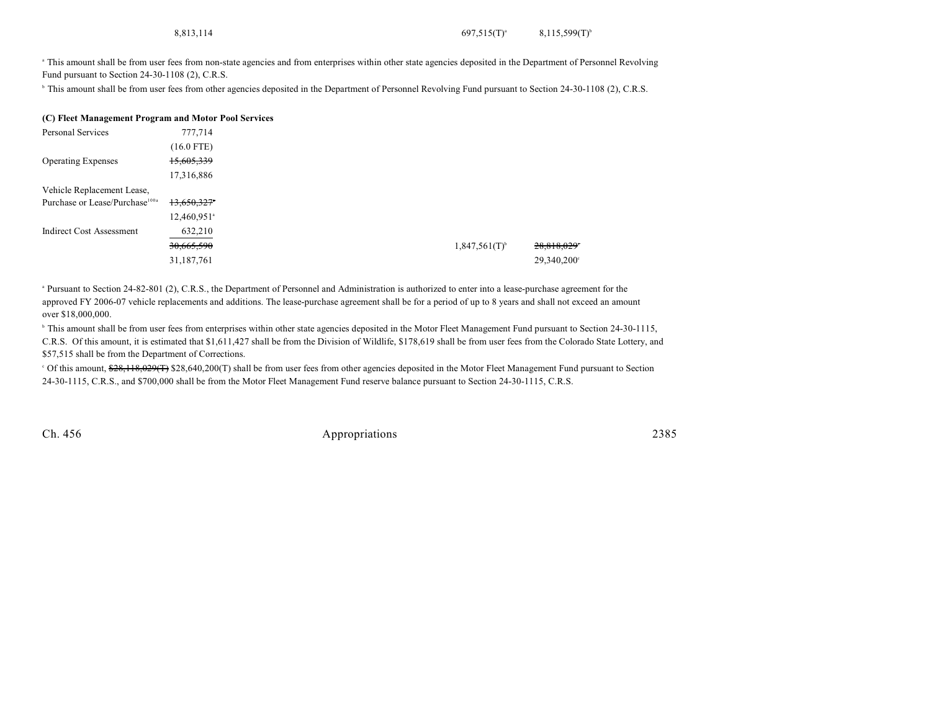<sup>a</sup> This amount shall be from user fees from non-state agencies and from enterprises within other state agencies deposited in the Department of Personnel Revolving Fund pursuant to Section 24-30-1108 (2), C.R.S.

<sup>b</sup> This amount shall be from user fees from other agencies deposited in the Department of Personnel Revolving Fund pursuant to Section 24-30-1108 (2), C.R.S.

#### **(C) Fleet Management Program and Motor Pool Services**

| Personal Services                          | 777,714                   |  |                             |             |
|--------------------------------------------|---------------------------|--|-----------------------------|-------------|
|                                            | $(16.0$ FTE)              |  |                             |             |
| <b>Operating Expenses</b>                  | 15,605,339                |  |                             |             |
|                                            | 17,316,886                |  |                             |             |
| Vehicle Replacement Lease,                 |                           |  |                             |             |
| Purchase or Lease/Purchase <sup>100a</sup> | 13,650,327                |  |                             |             |
|                                            | $12,460,951$ <sup>a</sup> |  |                             |             |
| <b>Indirect Cost Assessment</b>            | 632,210                   |  |                             |             |
|                                            | 30,665,590                |  | $1,847,561(T)$ <sup>b</sup> | 28,818,029° |
|                                            | 31,187,761                |  |                             | 29,340,200° |
|                                            |                           |  |                             |             |

<sup>a</sup> Pursuant to Section 24-82-801 (2), C.R.S., the Department of Personnel and Administration is authorized to enter into a lease-purchase agreement for the approved FY 2006-07 vehicle replacements and additions. The lease-purchase agreement shall be for a period of up to 8 years and shall not exceed an amount over \$18,000,000.

<sup>h</sup> This amount shall be from user fees from enterprises within other state agencies deposited in the Motor Fleet Management Fund pursuant to Section 24-30-1115, C.R.S. Of this amount, it is estimated that \$1,611,427 shall be from the Division of Wildlife, \$178,619 shall be from user fees from the Colorado State Lottery, and \$57,515 shall be from the Department of Corrections.

<sup>c</sup> Of this amount, \$28,118,029(T) \$28,640,200(T) shall be from user fees from other agencies deposited in the Motor Fleet Management Fund pursuant to Section 24-30-1115, C.R.S., and \$700,000 shall be from the Motor Fleet Management Fund reserve balance pursuant to Section 24-30-1115, C.R.S.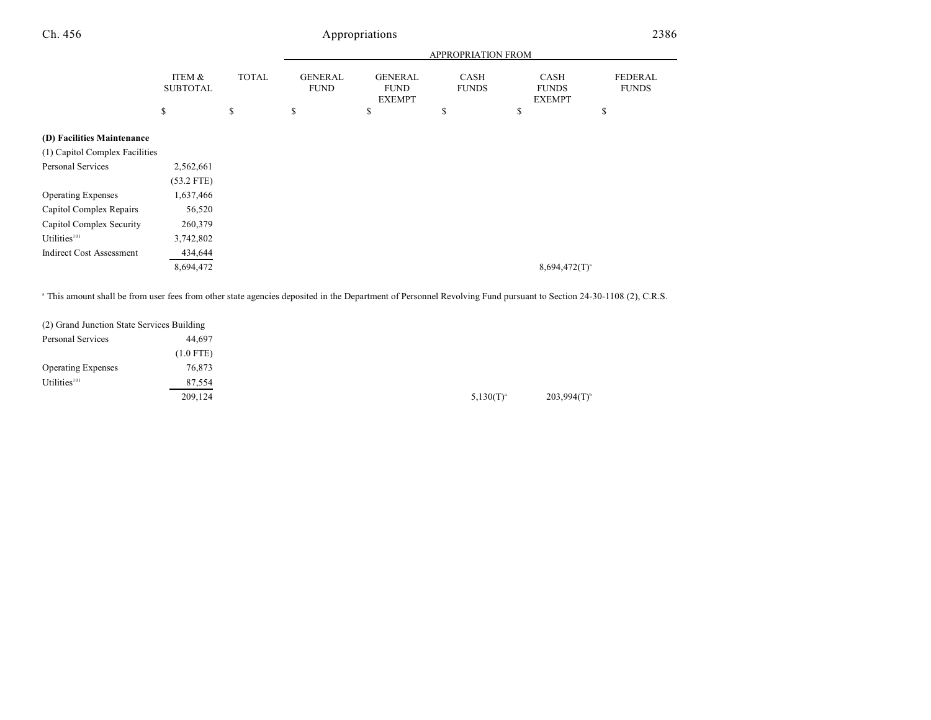$\begin{array}{ccccccccccc} \texttt{S} & \texttt{S} & \texttt{S} & \texttt{S} & \texttt{S} & \texttt{S} & \texttt{S} & \texttt{S} & \texttt{S} & \texttt{S} & \texttt{S} & \texttt{S} & \texttt{S} & \texttt{S} & \texttt{S} & \texttt{S} & \texttt{S} & \texttt{S} & \texttt{S} & \texttt{S} & \texttt{S} & \texttt{S} & \texttt{S} & \texttt{S} & \texttt{S} & \texttt{S} & \texttt{S} & \texttt{S} & \texttt{S} & \texttt{S} & \$ 

| Ch. 456 |                           |              |                               | Appropriations                          |                             |                                              | 2386                           |
|---------|---------------------------|--------------|-------------------------------|-----------------------------------------|-----------------------------|----------------------------------------------|--------------------------------|
|         |                           |              |                               |                                         | <b>APPROPRIATION FROM</b>   |                                              |                                |
|         | ITEM &<br><b>SUBTOTAL</b> | <b>TOTAL</b> | <b>GENERAL</b><br><b>FUND</b> | GENERAL<br><b>FUND</b><br><b>EXEMPT</b> | <b>CASH</b><br><b>FUNDS</b> | <b>CASH</b><br><b>FUNDS</b><br><b>EXEMPT</b> | <b>FEDERAL</b><br><b>FUNDS</b> |
|         |                           |              |                               |                                         |                             |                                              |                                |

## **(D) Facilities Maintenance**

| $(D)$ racinties infaintenance   |              |
|---------------------------------|--------------|
| (1) Capitol Complex Facilities  |              |
| Personal Services               | 2,562,661    |
|                                 | $(53.2$ FTE) |
| <b>Operating Expenses</b>       | 1,637,466    |
| Capitol Complex Repairs         | 56,520       |
| Capitol Complex Security        | 260,379      |
| Utilities <sup>101</sup>        | 3,742,802    |
| <b>Indirect Cost Assessment</b> | 434,644      |
|                                 | 8,694,472    |
|                                 |              |

<sup>a</sup> This amount shall be from user fees from other state agencies deposited in the Department of Personnel Revolving Fund pursuant to Section 24-30-1108 (2), C.R.S.

| (2) Grand Junction State Services Building |             |                |
|--------------------------------------------|-------------|----------------|
| Personal Services                          | 44,697      |                |
|                                            | $(1.0$ FTE) |                |
| <b>Operating Expenses</b>                  | 76,873      |                |
| Utilities <sup>101</sup>                   | 87,554      |                |
|                                            | 209,124     | $5,130(T)^{a}$ |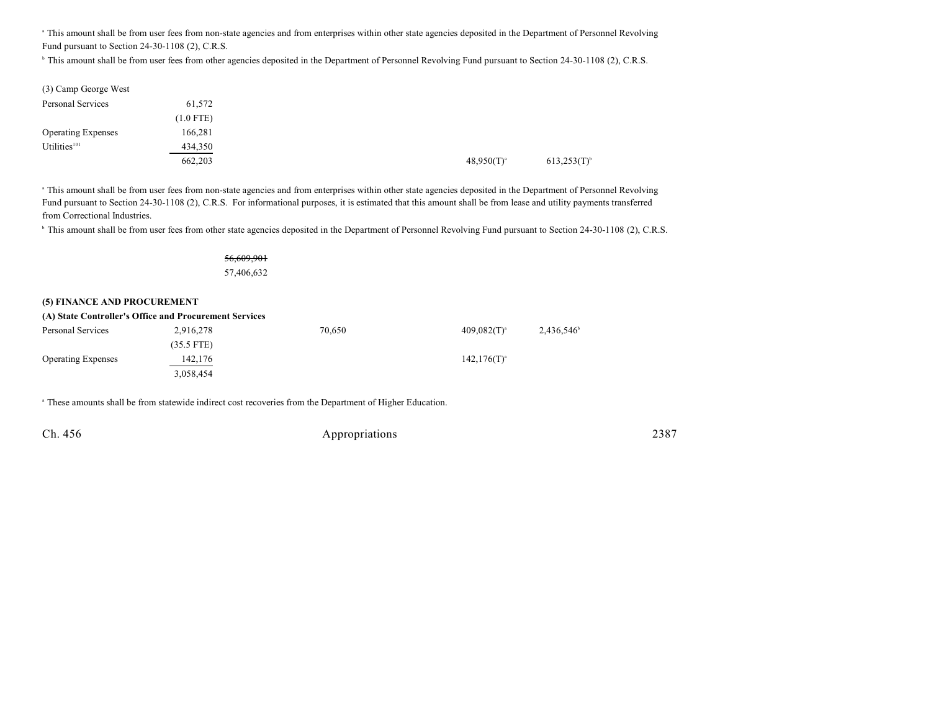<sup>a</sup> This amount shall be from user fees from non-state agencies and from enterprises within other state agencies deposited in the Department of Personnel Revolving Fund pursuant to Section 24-30-1108 (2), C.R.S.

<sup>b</sup> This amount shall be from user fees from other agencies deposited in the Department of Personnel Revolving Fund pursuant to Section 24-30-1108 (2), C.R.S.

| (3) Camp George West      |             |  |                 |                  |
|---------------------------|-------------|--|-----------------|------------------|
| Personal Services         | 61,572      |  |                 |                  |
|                           | $(1.0$ FTE) |  |                 |                  |
| <b>Operating Expenses</b> | 166,281     |  |                 |                  |
| Utilities <sup>101</sup>  | 434,350     |  |                 |                  |
|                           | 662,203     |  | $48,950(T)^{a}$ | $613,253(T)^{b}$ |

<sup>a</sup> This amount shall be from user fees from non-state agencies and from enterprises within other state agencies deposited in the Department of Personnel Revolving Fund pursuant to Section 24-30-1108 (2), C.R.S. For informational purposes, it is estimated that this amount shall be from lease and utility payments transferred from Correctional Industries.

<sup>b</sup> This amount shall be from user fees from other state agencies deposited in the Department of Personnel Revolving Fund pursuant to Section 24-30-1108 (2), C.R.S.

56,609,901 57,406,632

#### **(5) FINANCE AND PROCUREMENT**

| (A) State Controller's Office and Procurement Services |              |        |                   |                     |  |  |  |  |
|--------------------------------------------------------|--------------|--------|-------------------|---------------------|--|--|--|--|
| Personal Services                                      | 2,916,278    | 70.650 | $409.082(T)^{3}$  | $2,436,546^{\circ}$ |  |  |  |  |
|                                                        | $(35.5$ FTE) |        |                   |                     |  |  |  |  |
| <b>Operating Expenses</b>                              | 142,176      |        | $142, 176(T)^{a}$ |                     |  |  |  |  |
|                                                        | 3,058,454    |        |                   |                     |  |  |  |  |

<sup>a</sup> These amounts shall be from statewide indirect cost recoveries from the Department of Higher Education.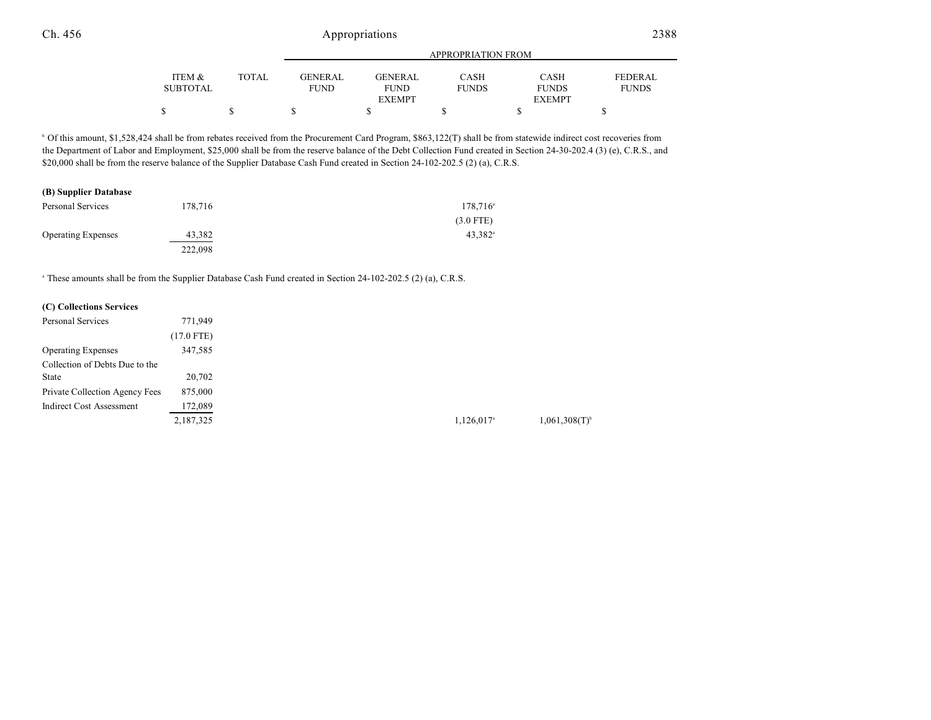|                 |              |             |                | APPROPRIATION FROM |               |                |
|-----------------|--------------|-------------|----------------|--------------------|---------------|----------------|
| ITEM &          | <b>TOTAL</b> | GENERAL     | <b>GENERAL</b> | <b>CASH</b>        | CASH          | <b>FEDERAL</b> |
| <b>SUBTOTAL</b> |              | <b>FUND</b> | <b>FUND</b>    | <b>FUNDS</b>       | <b>FUNDS</b>  | <b>FUNDS</b>   |
|                 |              |             | <b>EXEMPT</b>  |                    | <b>EXEMPT</b> |                |
|                 |              |             |                |                    |               |                |

<sup>b</sup> Of this amount, \$1,528,424 shall be from rebates received from the Procurement Card Program, \$863,122(T) shall be from statewide indirect cost recoveries from the Department of Labor and Employment, \$25,000 shall be from the reserve balance of the Debt Collection Fund created in Section 24-30-202.4 (3) (e), C.R.S., and \$20,000 shall be from the reserve balance of the Supplier Database Cash Fund created in Section 24-102-202.5 (2) (a), C.R.S.

#### **(B) Supplier Database**

| Personal Services         | 178.716 | $178,716^{\circ}$ |
|---------------------------|---------|-------------------|
|                           |         | $(3.0$ FTE)       |
| <b>Operating Expenses</b> | 43.382  | $43.382^{\circ}$  |
|                           | 222,098 |                   |

<sup>a</sup> These amounts shall be from the Supplier Database Cash Fund created in Section 24-102-202.5 (2) (a), C.R.S.

## **(C) Collections Services**

| Personal Services               | 771.949      |
|---------------------------------|--------------|
|                                 | $(17.0$ FTE) |
| <b>Operating Expenses</b>       | 347,585      |
| Collection of Debts Due to the  |              |
| <b>State</b>                    | 20,702       |
| Private Collection Agency Fees  | 875,000      |
| <b>Indirect Cost Assessment</b> | 172,089      |
|                                 | 2,187,325    |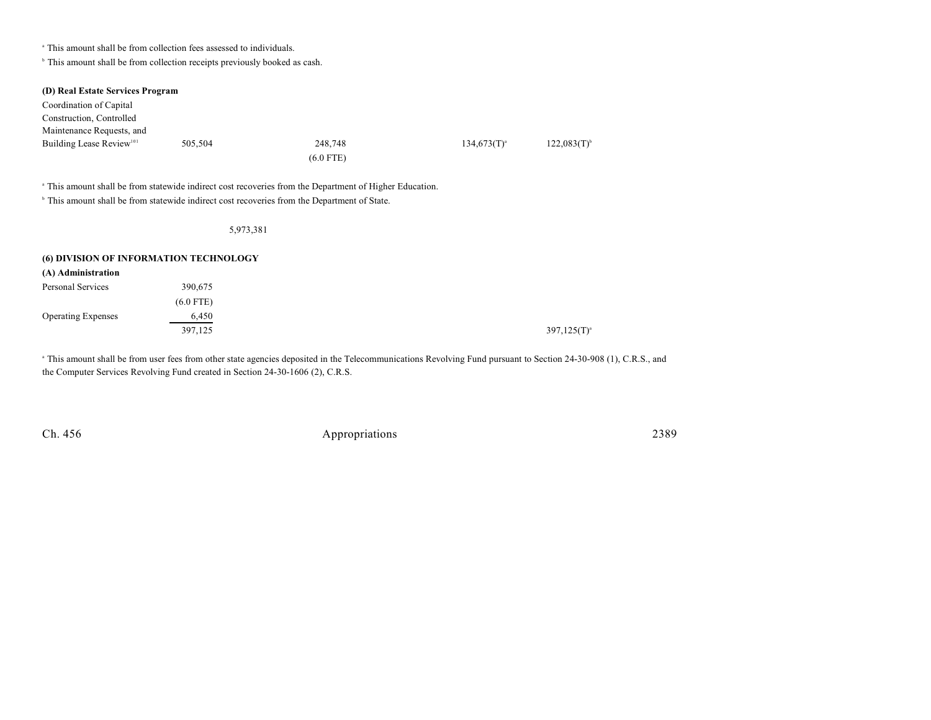<sup>a</sup> This amount shall be from collection fees assessed to individuals.

 $\,^{\circ}$  This amount shall be from collection receipts previously booked as cash.

| (D) Real Estate Services Program<br>Coordination of Capital<br>Construction, Controlled<br>Maintenance Requests, and |           |                                                                                                                                                                                                                               |                  |                  |
|----------------------------------------------------------------------------------------------------------------------|-----------|-------------------------------------------------------------------------------------------------------------------------------------------------------------------------------------------------------------------------------|------------------|------------------|
| Building Lease Review <sup>101</sup>                                                                                 | 505,504   | 248,748                                                                                                                                                                                                                       | $134,673(T)^{a}$ | $122,083(T)^{6}$ |
|                                                                                                                      |           | $(6.0$ FTE)                                                                                                                                                                                                                   |                  |                  |
|                                                                                                                      |           | <sup>a</sup> This amount shall be from statewide indirect cost recoveries from the Department of Higher Education.<br><sup>b</sup> This amount shall be from statewide indirect cost recoveries from the Department of State. |                  |                  |
|                                                                                                                      | 5,973,381 |                                                                                                                                                                                                                               |                  |                  |

#### **(6) DIVISION OF INFORMATION TECHNOLOGY (A) Administration**

| (A) Administration        |             |
|---------------------------|-------------|
| Personal Services         | 390.675     |
|                           | $(6.0$ FTE) |
| <b>Operating Expenses</b> | 6,450       |
|                           | 397,125     |
|                           |             |

This amount shall be from user fees from other state agencies deposited in the Telecommunications Revolving Fund pursuant to Section 24-30-908 (1), C.R.S., and the Computer Services Revolving Fund created in Section 24-30-1606 (2), C.R.S.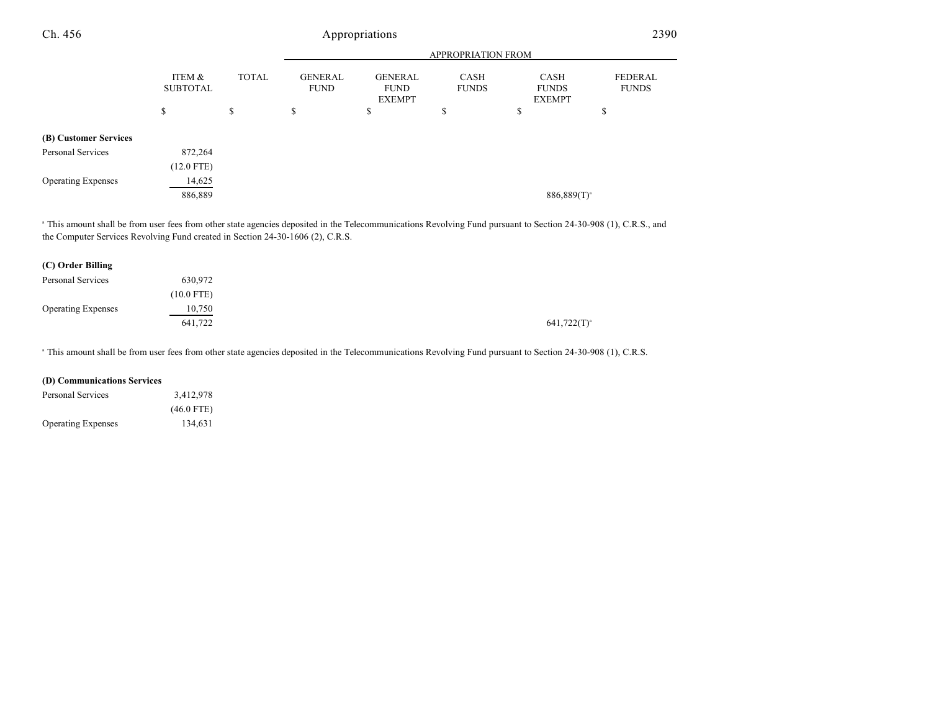| Ch. 456                   |                           |              |                               | Appropriations                                 |                             |                                              | 2390                    |
|---------------------------|---------------------------|--------------|-------------------------------|------------------------------------------------|-----------------------------|----------------------------------------------|-------------------------|
|                           |                           |              |                               |                                                | <b>APPROPRIATION FROM</b>   |                                              |                         |
|                           | ITEM &<br><b>SUBTOTAL</b> | <b>TOTAL</b> | <b>GENERAL</b><br><b>FUND</b> | <b>GENERAL</b><br><b>FUND</b><br><b>EXEMPT</b> | <b>CASH</b><br><b>FUNDS</b> | <b>CASH</b><br><b>FUNDS</b><br><b>EXEMPT</b> | FEDERAL<br><b>FUNDS</b> |
|                           | \$                        | \$           | \$                            | \$                                             | \$                          | \$                                           | \$                      |
| (B) Customer Services     |                           |              |                               |                                                |                             |                                              |                         |
| <b>Personal Services</b>  | 872,264                   |              |                               |                                                |                             |                                              |                         |
|                           | $(12.0$ FTE)              |              |                               |                                                |                             |                                              |                         |
| <b>Operating Expenses</b> | 14,625                    |              |                               |                                                |                             |                                              |                         |
|                           | 886,889                   |              |                               |                                                |                             | $886,889(T)^a$                               |                         |

<sup>a</sup> This amount shall be from user fees from other state agencies deposited in the Telecommunications Revolving Fund pursuant to Section 24-30-908 (1), C.R.S., and the Computer Services Revolving Fund created in Section 24-30-1606 (2), C.R.S.

| (C) Order Billing         |              |
|---------------------------|--------------|
| Personal Services         | 630.972      |
|                           | $(10.0$ FTE) |
| <b>Operating Expenses</b> | 10,750       |
|                           | 641,722      |

<sup>a</sup> This amount shall be from user fees from other state agencies deposited in the Telecommunications Revolving Fund pursuant to Section 24-30-908 (1), C.R.S.

## **(D) Communications Services**

| Personal Services         | 3,412,978    |
|---------------------------|--------------|
|                           | $(46.0$ FTE) |
| <b>Operating Expenses</b> | 134,631      |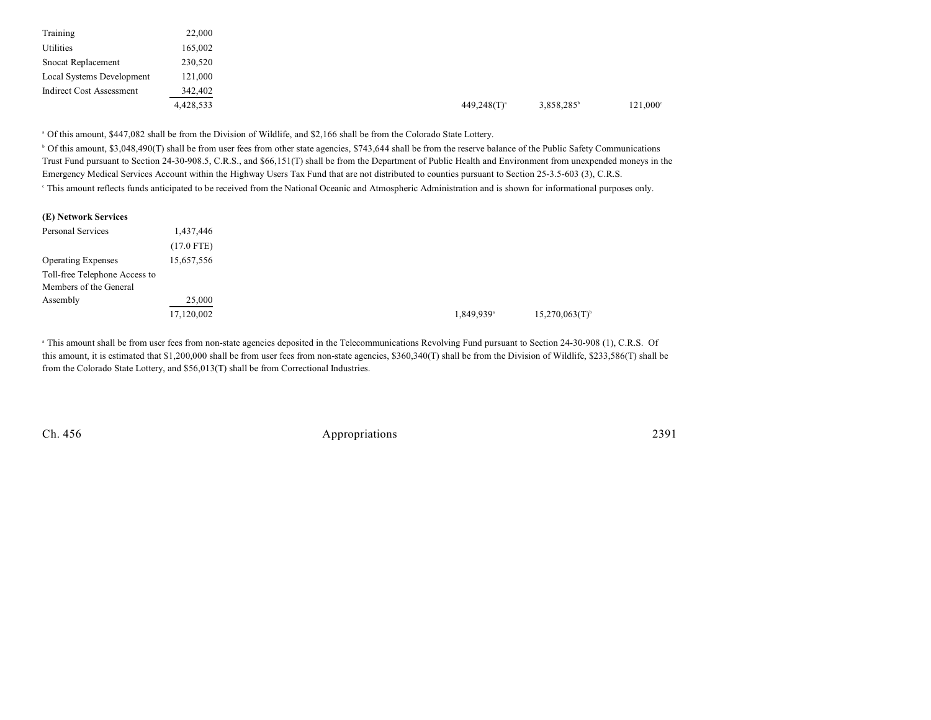| Training                        | 22,000    |                  |                        |                   |
|---------------------------------|-----------|------------------|------------------------|-------------------|
| Utilities                       | 165,002   |                  |                        |                   |
| Snocat Replacement              | 230,520   |                  |                        |                   |
| Local Systems Development       | 121,000   |                  |                        |                   |
| <b>Indirect Cost Assessment</b> | 342,402   |                  |                        |                   |
|                                 | 4,428,533 | $449,248(T)^{a}$ | 3,858,285 <sup>b</sup> | $121,000^{\circ}$ |

Of this amount, \$447,082 shall be from the Division of Wildlife, and \$2,166 shall be from the Colorado State Lottery. <sup>a</sup>

<sup>b</sup> Of this amount, \$3,048,490(T) shall be from user fees from other state agencies, \$743,644 shall be from the reserve balance of the Public Safety Communications Trust Fund pursuant to Section 24-30-908.5, C.R.S., and \$66,151(T) shall be from the Department of Public Health and Environment from unexpended moneys in the Emergency Medical Services Account within the Highway Users Tax Fund that are not distributed to counties pursuant to Section 25-3.5-603 (3), C.R.S.

<sup>e</sup> This amount reflects funds anticipated to be received from the National Oceanic and Atmospheric Administration and is shown for informational purposes only.

| (E) Network Services          |              |
|-------------------------------|--------------|
| Personal Services             | 1,437,446    |
|                               | $(17.0$ FTE) |
| <b>Operating Expenses</b>     | 15,657,556   |
| Toll-free Telephone Access to |              |
| Members of the General        |              |
| Assembly                      | 25,000       |
|                               | 17,120,002   |

<sup>a</sup> This amount shall be from user fees from non-state agencies deposited in the Telecommunications Revolving Fund pursuant to Section 24-30-908 (1), C.R.S. Of this amount, it is estimated that \$1,200,000 shall be from user fees from non-state agencies, \$360,340(T) shall be from the Division of Wildlife, \$233,586(T) shall be from the Colorado State Lottery, and \$56,013(T) shall be from Correctional Industries.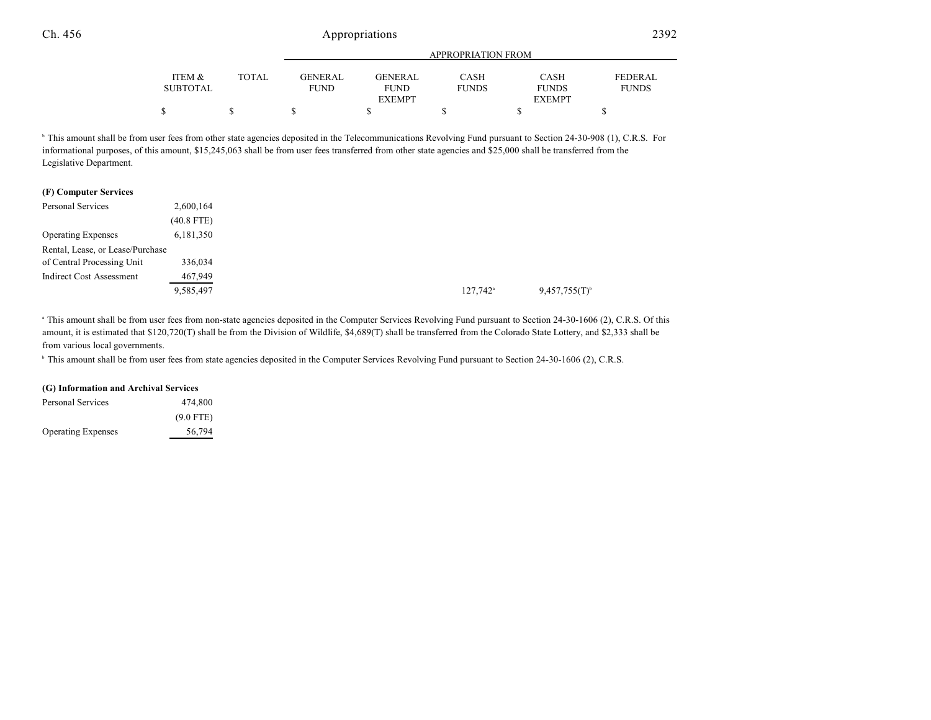|                 |       |                |                | <b>APPROPRIATION FROM</b> |               |              |
|-----------------|-------|----------------|----------------|---------------------------|---------------|--------------|
| ITEM &          | TOTAL | <b>GENERAL</b> | <b>GENERAL</b> | <b>CASH</b>               | <b>CASH</b>   | FEDERAL      |
| <b>SUBTOTAL</b> |       | <b>FUND</b>    | <b>FUND</b>    | <b>FUNDS</b>              | <b>FUNDS</b>  | <b>FUNDS</b> |
|                 |       |                | <b>EXEMPT</b>  |                           | <b>EXEMPT</b> |              |
|                 |       |                |                |                           |               |              |

<sup>b</sup> This amount shall be from user fees from other state agencies deposited in the Telecommunications Revolving Fund pursuant to Section 24-30-908 (1), C.R.S. For informational purposes, of this amount, \$15,245,063 shall be from user fees transferred from other state agencies and \$25,000 shall be transferred from the Legislative Department.

| (F) Computer Services            |              |
|----------------------------------|--------------|
| <b>Personal Services</b>         | 2,600,164    |
|                                  | $(40.8$ FTE) |
| <b>Operating Expenses</b>        | 6,181,350    |
| Rental, Lease, or Lease/Purchase |              |
| of Central Processing Unit       | 336,034      |
| Indirect Cost Assessment         | 467,949      |
|                                  | 9,585,497    |

<sup>a</sup> This amount shall be from user fees from non-state agencies deposited in the Computer Services Revolving Fund pursuant to Section 24-30-1606 (2), C.R.S. Of this amount, it is estimated that \$120,720(T) shall be from the Division of Wildlife, \$4,689(T) shall be transferred from the Colorado State Lottery, and \$2,333 shall be from various local governments.

<sup>b</sup> This amount shall be from user fees from state agencies deposited in the Computer Services Revolving Fund pursuant to Section 24-30-1606 (2), C.R.S.

#### **(G) Information and Archival Services**

| Personal Services         | 474,800     |
|---------------------------|-------------|
|                           | $(9.0$ FTE) |
| <b>Operating Expenses</b> | 56,794      |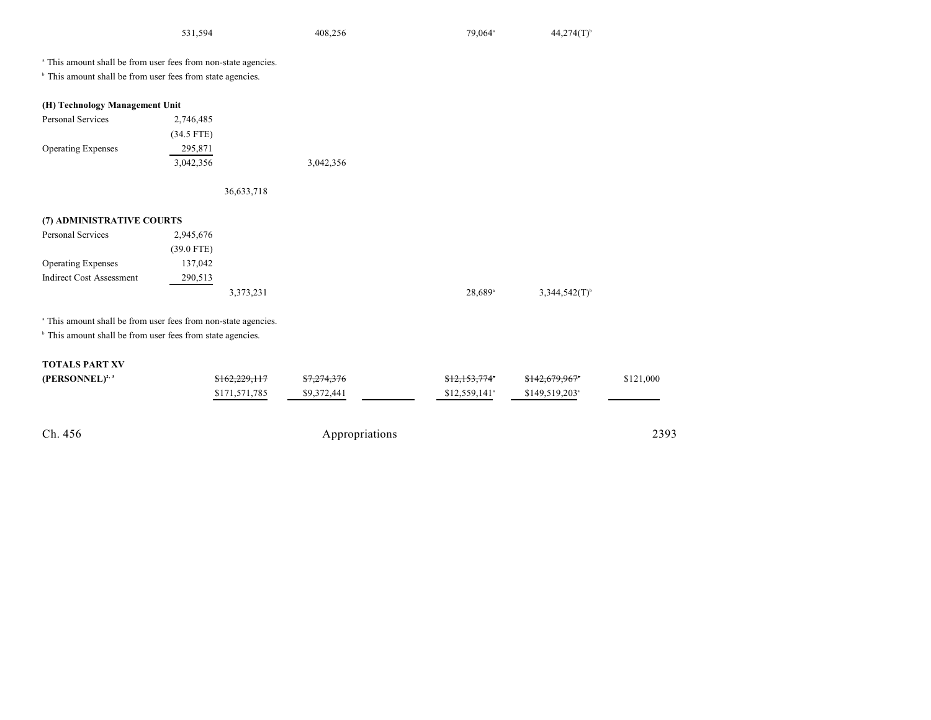| 531,594 | 408,256 | 79.064 <sup>a</sup> | $44,274(T)^{6}$ |
|---------|---------|---------------------|-----------------|
|         |         |                     |                 |

<sup>a</sup> This amount shall be from user fees from non-state agencies.

<sup>b</sup> This amount shall be from user fees from state agencies.

| (H) Technology Management Unit |              |           |  |  |  |
|--------------------------------|--------------|-----------|--|--|--|
| <b>Personal Services</b>       | 2,746,485    |           |  |  |  |
|                                | $(34.5$ FTE) |           |  |  |  |
| <b>Operating Expenses</b>      | 295,871      |           |  |  |  |
|                                | 3,042,356    | 3,042,356 |  |  |  |

36,633,718

## **(7) ADMINISTRATIVE COURTS**

| Personal Services         | 2,945,676    |           |                       |                             |
|---------------------------|--------------|-----------|-----------------------|-----------------------------|
|                           | $(39.0$ FTE) |           |                       |                             |
| <b>Operating Expenses</b> | 137,042      |           |                       |                             |
| Indirect Cost Assessment  | 290,513      |           |                       |                             |
|                           |              | 3,373,231 | $28,689$ <sup>a</sup> | $3,344,542(T)$ <sup>b</sup> |

<sup>a</sup> This amount shall be from user fees from non-state agencies.

<sup>b</sup> This amount shall be from user fees from state agencies.

## **TOTALS PART XV**

| $(PERSONNEL)^{2,3}$ | \$162,229,117 | \$7,274,376    | \$12,153,774*              | \$142,679,967*              | \$121,000 |
|---------------------|---------------|----------------|----------------------------|-----------------------------|-----------|
|                     | \$171,571,785 | \$9,372,441    | $$12,559,141$ <sup>a</sup> | $$149,519,203$ <sup>a</sup> |           |
|                     |               |                |                            |                             |           |
|                     |               |                |                            |                             |           |
| Ch. 456             |               | Appropriations |                            |                             | 2393      |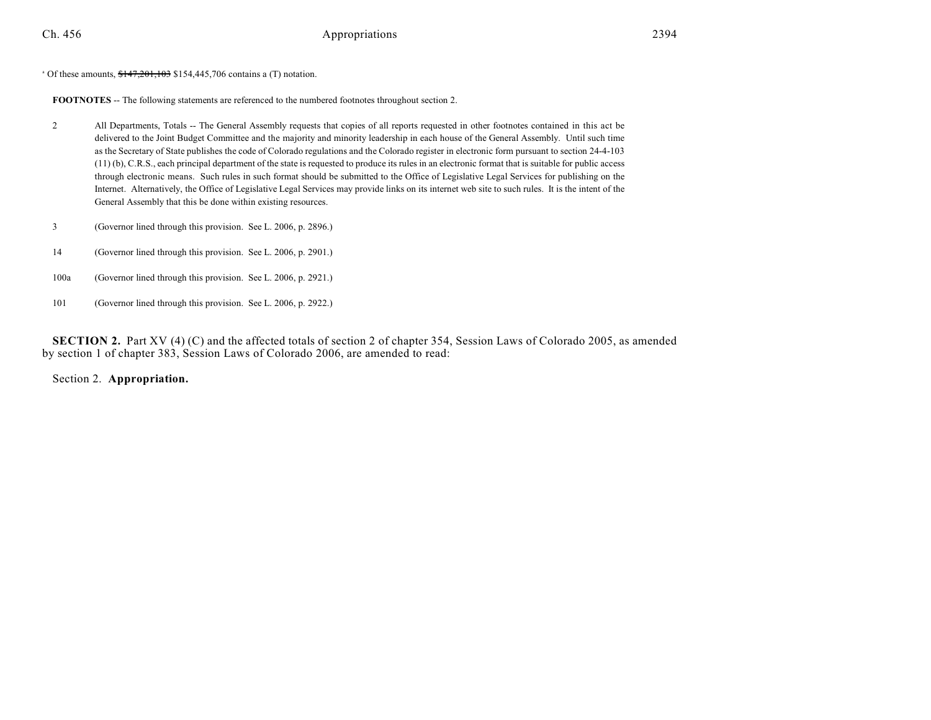$^{\circ}$  Of these amounts,  $$147,201,103$  \$154,445,706 contains a (T) notation.

**FOOTNOTES** -- The following statements are referenced to the numbered footnotes throughout section 2.

- 2 All Departments, Totals -- The General Assembly requests that copies of all reports requested in other footnotes contained in this act be delivered to the Joint Budget Committee and the majority and minority leadership in each house of the General Assembly. Until such time as the Secretary of State publishes the code of Colorado regulations and the Colorado register in electronic form pursuant to section 24-4-103 (11) (b), C.R.S., each principal department of the state is requested to produce its rules in an electronic format that is suitable for public access through electronic means. Such rules in such format should be submitted to the Office of Legislative Legal Services for publishing on the Internet. Alternatively, the Office of Legislative Legal Services may provide links on its internet web site to such rules. It is the intent of the General Assembly that this be done within existing resources.
- 3 (Governor lined through this provision. See L. 2006, p. 2896.)
- 14 (Governor lined through this provision. See L. 2006, p. 2901.)
- 100a (Governor lined through this provision. See L. 2006, p. 2921.)
- 101 (Governor lined through this provision. See L. 2006, p. 2922.)

**SECTION 2.** Part XV (4) (C) and the affected totals of section 2 of chapter 354, Session Laws of Colorado 2005, as amended by section 1 of chapter 383, Session Laws of Colorado 2006, are amended to read:

Section 2. **Appropriation.**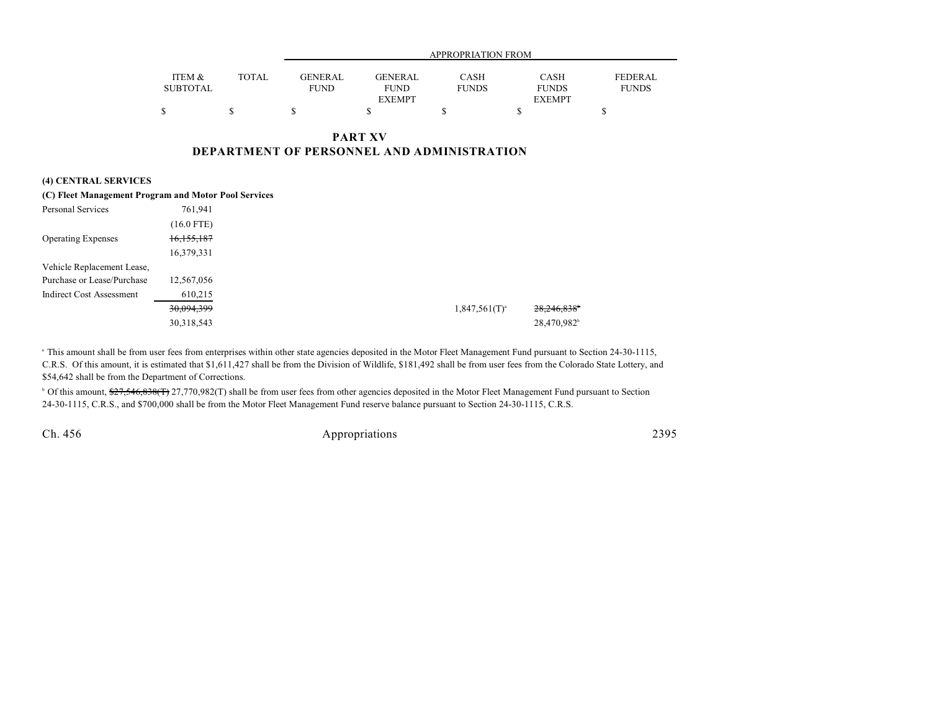|                 |              | APPROPRIATION FROM |                |              |               |              |
|-----------------|--------------|--------------------|----------------|--------------|---------------|--------------|
|                 |              |                    |                |              |               |              |
| ITEM &          | <b>TOTAL</b> | <b>GENERAL</b>     | <b>GENERAL</b> | <b>CASH</b>  | CASH          | FEDERAL      |
| <b>SUBTOTAL</b> |              | <b>FUND</b>        | <b>FUND</b>    | <b>FUNDS</b> | <b>FUNDS</b>  | <b>FUNDS</b> |
|                 |              |                    | <b>EXEMPT</b>  |              | <b>EXEMPT</b> |              |
|                 |              |                    |                |              |               |              |

## **PART XV DEPARTMENT OF PERSONNEL AND ADMINISTRATION**

## **(4) CENTRAL SERVICES**

|                                 | (C) Fleet Management Program and Motor Pool Services |                    |
|---------------------------------|------------------------------------------------------|--------------------|
| Personal Services               | 761.941                                              |                    |
|                                 | $(16.0$ FTE)                                         |                    |
| <b>Operating Expenses</b>       | 16,155,187                                           |                    |
|                                 | 16,379,331                                           |                    |
| Vehicle Replacement Lease,      |                                                      |                    |
| Purchase or Lease/Purchase      | 12,567,056                                           |                    |
| <b>Indirect Cost Assessment</b> | 610,215                                              |                    |
|                                 | 30,094,399                                           | $1,847,561(T)^{a}$ |
|                                 | 30,318,543                                           |                    |

<sup>a</sup> This amount shall be from user fees from enterprises within other state agencies deposited in the Motor Fleet Management Fund pursuant to Section 24-30-1115, C.R.S. Of this amount, it is estimated that \$1,611,427 shall be from the Division of Wildlife, \$181,492 shall be from user fees from the Colorado State Lottery, and \$54,642 shall be from the Department of Corrections.

<sup>b</sup> Of this amount, \$27,546,838(T) 27,770,982(T) shall be from user fees from other agencies deposited in the Motor Fleet Management Fund pursuant to Section 24-30-1115, C.R.S., and \$700,000 shall be from the Motor Fleet Management Fund reserve balance pursuant to Section 24-30-1115, C.R.S.

Ch. 456 Appropriations 2395

eri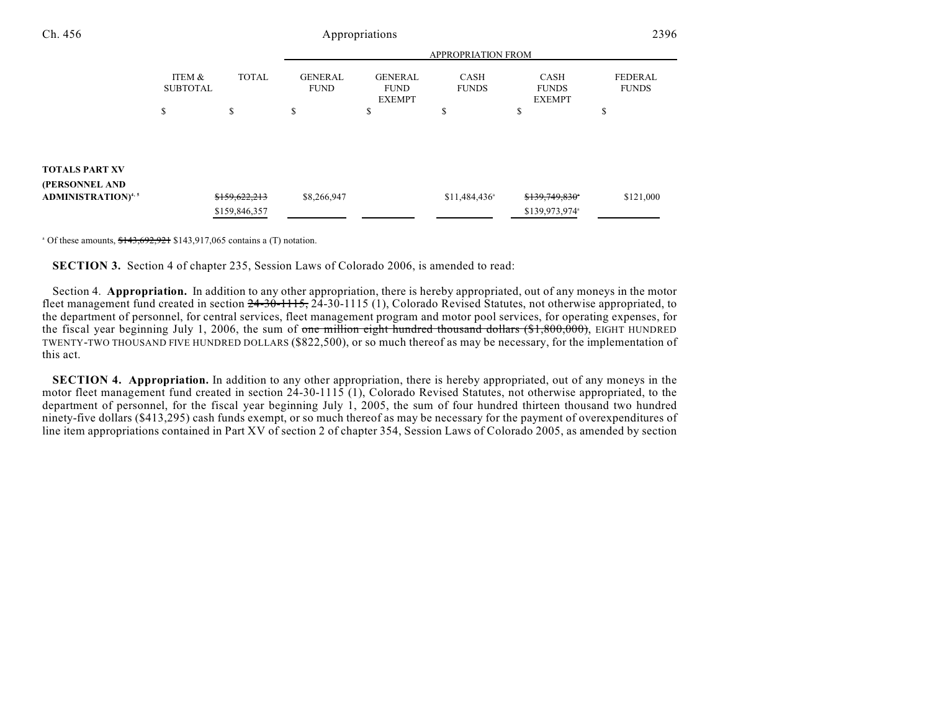| Ch. 456                                 |                           |                                |                               | Appropriations                                 |                             |                                              | 2396                           |
|-----------------------------------------|---------------------------|--------------------------------|-------------------------------|------------------------------------------------|-----------------------------|----------------------------------------------|--------------------------------|
|                                         |                           |                                |                               |                                                | APPROPRIATION FROM          |                                              |                                |
|                                         | ITEM &<br><b>SUBTOTAL</b> | <b>TOTAL</b>                   | <b>GENERAL</b><br><b>FUND</b> | <b>GENERAL</b><br><b>FUND</b><br><b>EXEMPT</b> | <b>CASH</b><br><b>FUNDS</b> | <b>CASH</b><br><b>FUNDS</b><br><b>EXEMPT</b> | <b>FEDERAL</b><br><b>FUNDS</b> |
|                                         | \$                        | \$                             | \$                            | \$                                             | \$                          | \$                                           | \$                             |
| <b>TOTALS PART XV</b><br>(PERSONNEL AND |                           |                                |                               |                                                |                             |                                              |                                |
| <b>ADMINISTRATION)</b> <sup>4,5</sup>   |                           | \$159,622,213<br>\$159,846,357 | \$8,266,947                   |                                                | $$11,484,436$ <sup>a</sup>  | \$139,749,830<br>\$139,973,974 <sup>a</sup>  | \$121,000                      |

 $^{\circ}$  Of these amounts,  $$143,692,921$  \$143,917,065 contains a (T) notation.

**SECTION 3.** Section 4 of chapter 235, Session Laws of Colorado 2006, is amended to read:

Section 4. **Appropriation.** In addition to any other appropriation, there is hereby appropriated, out of any moneys in the motor fleet management fund created in section  $24-30-1115$ ,  $24-30-1115$  (1), Colorado Revised Statutes, not otherwise appropriated, to the department of personnel, for central services, fleet management program and motor pool services, for operating expenses, for the fiscal year beginning July 1, 2006, the sum of one million eight hundred thousand dollars  $(\frac{61}{800000})$ , EIGHT HUNDRED TWENTY-TWO THOUSAND FIVE HUNDRED DOLLARS (\$822,500), or so much thereof as may be necessary, for the implementation of this act.

**SECTION 4. Appropriation.** In addition to any other appropriation, there is hereby appropriated, out of any moneys in the motor fleet management fund created in section  $24-30-1115(1)$ , Colorado Revised Statutes, not otherwise appropriated, to the department of personnel, for the fiscal year beginning July 1, 2005, the sum of four hundred thirteen thousand two hundred ninety-five dollars (\$413,295) cash funds exempt, or so much thereof as may be necessary for the payment of overexpenditures of line item appropriations contained in Part XV of section 2 of chapter 354, Session Laws of Colorado 2005, as amended by section